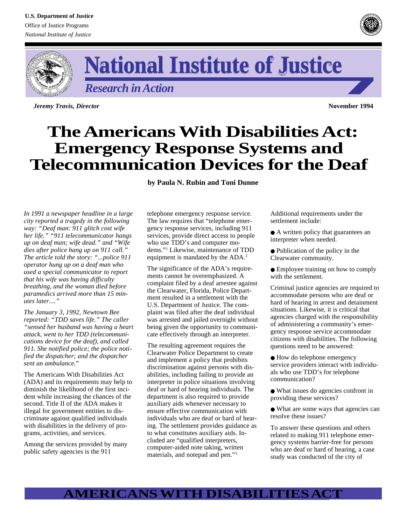



*Research in Action*

*Jeremy Travis, Director* **November 1994**

# **The Americans With Disabilities Act: Emergency Response Systems and Telecommunication Devices for the Deaf**

**by Paula N. Rubin and Toni Dunne**

*In 1991 a newspaper headline in a large city reported a tragedy in the following way: "Deaf man: 911 glitch cost wife her life." "911 telecommunicator hangs up on deaf man; wife dead." and "Wife dies after police hang up on 911 call." The article told the story: "...police 911 operator hung up on a deaf man who used a special communicator to report that his wife was having difficulty breathing, and the woman died before paramedics arrived more than 15 minutes later...."*

*The January 3, 1992, Newtown Bee reported: "TDD saves life." The caller "sensed her husband was having a heart attack, went to her TDD (telecommunications device for the deaf), and called 911. She notified police; the police notified the dispatcher; and the dispatcher sent an ambulance.*"

The Americans With Disabilities Act (ADA) and its requirements may help to diminish the likelihood of the first incident while increasing the chances of the second. Title II of the ADA makes it illegal for government entities to discriminate against qualified individuals with disabilities in the delivery of programs, activities, and services.

Among the services provided by many public safety agencies is the 911

telephone emergency response service. The law requires that "telephone emergency response services, including 911 services, provide direct access to people who use TDD's and computer modems."1 Likewise, maintenance of TDD equipment is mandated by the ADA.<sup>2</sup>

The significance of the ADA's requirements cannot be overemphasized. A complaint filed by a deaf arrestee against the Clearwater, Florida, Police Department resulted in a settlement with the U.S. Department of Justice. The complaint was filed after the deaf individual was arrested and jailed overnight without being given the opportunity to communicate effectively through an interpreter.

The resulting agreement requires the Clearwater Police Department to create and implement a policy that prohibits discrimination against persons with disabilities, including failing to provide an interpreter in police situations involving deaf or hard of hearing individuals. The department is also required to provide auxiliary aids whenever necessary to ensure effective communication with individuals who are deaf or hard of hearing. The settlement provides guidance as to what constitutes auxiliary aids. Included are "qualified interpreters, computer-aided note taking, written materials, and notepad and pen."3

Additional requirements under the settlement include:

● A written policy that guarantees an interpreter when needed.

● Publication of the policy in the Clearwater community.

● Employee training on how to comply with the settlement.

Criminal justice agencies are required to accommodate persons who are deaf or hard of hearing in arrest and detainment situations. Likewise, it is critical that agencies charged with the responsibility of administering a community's emergency response service accommodate citizens with disabilities. The following questions need to be answered:

● How do telephone emergency service providers interact with individuals who use TDD's for telephone communication?

● What issues do agencies confront in providing these services?

● What are some ways that agencies can resolve these issues?

To answer these questions and others related to making 911 telephone emergency systems barrier-free for persons who are deaf or hard of hearing, a case study was conducted of the city of

# **AMERICANS WITH DISABILITIES ACT**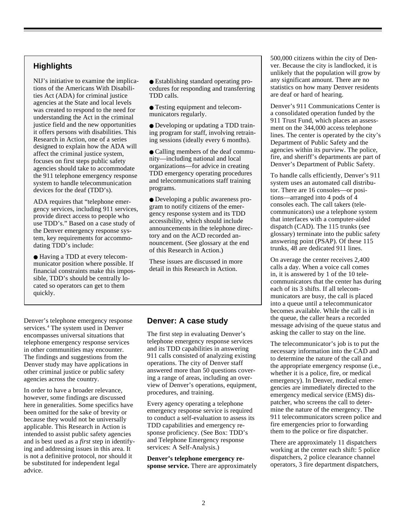## **Highlights**

NIJ's initiative to examine the implications of the Americans With Disabilities Act (ADA) for criminal justice agencies at the State and local levels was created to respond to the need for understanding the Act in the criminal justice field and the new opportunities it offers persons with disabilities. This Research in Action, one of a series designed to explain how the ADA will affect the criminal justice system, focuses on first steps public safety agencies should take to accommodate the 911 telephone emergency response system to handle telecommunication devices for the deaf (TDD's).

ADA requires that "telephone emergency services, including 911 services, provide direct access to people who use TDD's." Based on a case study of the Denver emergency response system, key requirements for accommodating TDD's include:

● Having a TDD at every telecommunicator position where possible. If financial constraints make this impossible, TDD's should be centrally located so operators can get to them quickly.

● Establishing standard operating procedures for responding and transferring TDD calls.

● Testing equipment and telecommunicators regularly.

● Developing or updating a TDD training program for staff, involving retraining sessions (ideally every 6 months).

● Calling members of the deaf community—including national and local organizations—for advice in creating TDD emergency operating procedures and telecommunications staff training programs.

● Developing a public awareness program to notify citizens of the emergency response system and its TDD accessibility, which should include announcements in the telephone directory and on the ACD recorded announcement. (See glossary at the end of this Research in Action.)

These issues are discussed in more detail in this Research in Action.

#### Denver's telephone emergency response services.<sup>4</sup> The system used in Denver encompasses universal situations that telephone emergency response services in other communities may encounter. The findings and suggestions from the Denver study may have applications in other criminal justice or public safety agencies across the country.

In order to have a broader relevance, however, some findings are discussed here in generalities. Some specifics have been omitted for the sake of brevity or because they would not be universally applicable. This Research in Action is intended to assist public safety agencies and is best used as a *first* step in identifying and addressing issues in this area. It is not a definitive protocol, nor should it be substituted for independent legal advice.

## **Denver: A case study**

The first step in evaluating Denver's telephone emergency response services and its TDD capabilities in answering 911 calls consisted of analyzing existing operations. The city of Denver staff answered more than 50 questions covering a range of areas, including an overview of Denver's operations, equipment, procedures, and training.

Every agency operating a telephone emergency response service is required to conduct a self-evaluation to assess its TDD capabilities and emergency response proficiency. (See Box: TDD's and Telephone Emergency response services: A Self-Analysis.)

**Denver's telephone emergency response service.** There are approximately 500,000 citizens within the city of Denver. Because the city is landlocked, it is unlikely that the population will grow by any significant amount. There are no statistics on how many Denver residents are deaf or hard of hearing.

Denver's 911 Communications Center is a consolidated operation funded by the 911 Trust Fund, which places an assessment on the 344,000 access telephone lines. The center is operated by the city's Department of Public Safety and the agencies within its purview. The police, fire, and sheriff's departments are part of Denver's Department of Public Safety.

To handle calls efficiently, Denver's 911 system uses an automated call distributor. There are 16 consoles—or positions—arranged into 4 pods of 4 consoles each. The call takers (telecommunicators) use a telephone system that interfaces with a computer-aided dispatch (CAD). The 115 trunks (see glossary) terminate into the public safety answering point (PSAP). Of these 115 trunks, 48 are dedicated 911 lines.

On average the center receives 2,400 calls a day. When a voice call comes in, it is answered by 1 of the 10 telecommunicators that the center has during each of its 3 shifts. If all telecommunicators are busy, the call is placed into a queue until a telecommunicator becomes available. While the call is in the queue, the caller hears a recorded message advising of the queue status and asking the caller to stay on the line.

The telecommunicator's job is to put the necessary information into the CAD and to determine the nature of the call and the appropriate emergency response (i.e., whether it is a police, fire, or medical emergency). In Denver, medical emergencies are immediately directed to the emergency medical service (EMS) dispatcher, who screens the call to determine the nature of the emergency. The 911 telecommunicators screen police and fire emergencies prior to forwarding them to the police or fire dispatcher.

There are approximately 11 dispatchers working at the center each shift: 5 police dispatchers, 2 police clearance channel operators, 3 fire department dispatchers,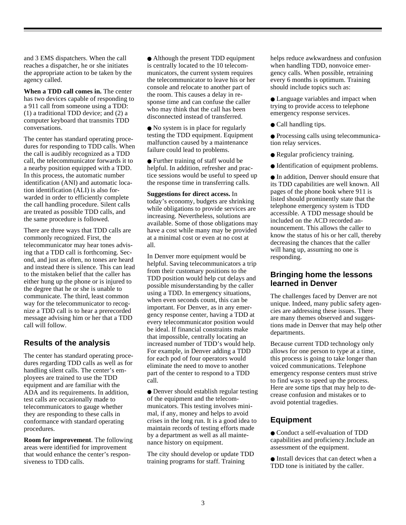and 3 EMS dispatchers. When the call reaches a dispatcher, he or she initiates the appropriate action to be taken by the agency called.

**When a TDD call comes in.** The center has two devices capable of responding to a 911 call from someone using a TDD: (1) a traditional TDD device; and (2) a computer keyboard that transmits TDD conversations.

The center has standard operating procedures for responding to TDD calls. When the call is audibly recognized as a TDD call, the telecommunicator forwards it to a nearby position equipped with a TDD. In this process, the automatic number identification (ANI) and automatic location identification (ALI) is also forwarded in order to efficiently complete the call handling procedure. Silent calls are treated as possible TDD calls, and the same procedure is followed.

There are three ways that TDD calls are commonly recognized. First, the telecommunicator may hear tones advising that a TDD call is forthcoming. Second, and just as often, no tones are heard and instead there is silence. This can lead to the mistaken belief that the caller has either hung up the phone or is injured to the degree that he or she is unable to communicate. The third, least common way for the telecommunicator to recognize a TDD call is to hear a prerecorded message advising him or her that a TDD call will follow.

## **Results of the analysis**

The center has standard operating procedures regarding TDD calls as well as for handling silent calls. The center's employees are trained to use the TDD equipment and are familiar with the ADA and its requirements. In addition, test calls are occasionally made to telecommunicators to gauge whether they are responding to these calls in conformance with standard operating procedures.

**Room for improvement**. The following areas were identified for improvement that would enhance the center's responsiveness to TDD calls.

● Although the present TDD equipment is centrally located to the 10 telecommunicators, the current system requires the telecommunicator to leave his or her console and relocate to another part of the room. This causes a delay in response time and can confuse the caller who may think that the call has been disconnected instead of transferred.

• No system is in place for regularly testing the TDD equipment. Equipment malfunction caused by a maintenance failure could lead to problems.

● Further training of staff would be helpful. In addition, refresher and practice sessions would be useful to speed up the response time in transferring calls.

**Suggestions for direct access.** In today's economy, budgets are shrinking while obligations to provide services are increasing. Nevertheless, solutions are available. Some of those obligations may have a cost while many may be provided at a minimal cost or even at no cost at all.

In Denver more equipment would be helpful. Saving telecommunicators a trip from their customary positions to the TDD position would help cut delays and possible misunderstanding by the caller using a TDD. In emergency situations, when even seconds count, this can be important. For Denver, as in any emergency response center, having a TDD at every telecommunicator position would be ideal. If financial constraints make that impossible, centrally locating an increased number of TDD's would help. For example, in Denver adding a TDD for each pod of four operators would eliminate the need to move to another part of the center to respond to a TDD call.

• Denver should establish regular testing of the equipment and the telecommunicators. This testing involves minimal, if any, money and helps to avoid crises in the long run. It is a good idea to maintain records of testing efforts made by a department as well as all maintenance history on equipment.

The city should develop or update TDD training programs for staff. Training

helps reduce awkwardness and confusion when handling TDD, nonvoice emergency calls. When possible, retraining every 6 months is optimum. Training should include topics such as:

● Language variables and impact when trying to provide access to telephone emergency response services.

● Call handling tips.

● Processing calls using telecommunication relay services.

- Regular proficiency training.
- Identification of equipment problems.

● In addition, Denver should ensure that its TDD capabilities are well known. All pages of the phone book where 911 is listed should prominently state that the telephone emergency system is TDD accessible. A TDD message should be included on the ACD recorded announcement. This allows the caller to know the status of his or her call, thereby decreasing the chances that the caller will hang up, assuming no one is responding.

## **Bringing home the lessons learned in Denver**

The challenges faced by Denver are not unique. Indeed, many public safety agencies are addressing these issues. There are many themes observed and suggestions made in Denver that may help other departments.

Because current TDD technology only allows for one person to type at a time, this process is going to take longer than voiced communications. Telephone emergency response centers must strive to find ways to speed up the process. Here are some tips that may help to decrease confusion and mistakes or to avoid potential tragedies.

# **Equipment**

● Conduct a self-evaluation of TDD capabilities and proficiency.␣Include an assessment of the equipment.

● Install devices that can detect when a TDD tone is initiated by the caller.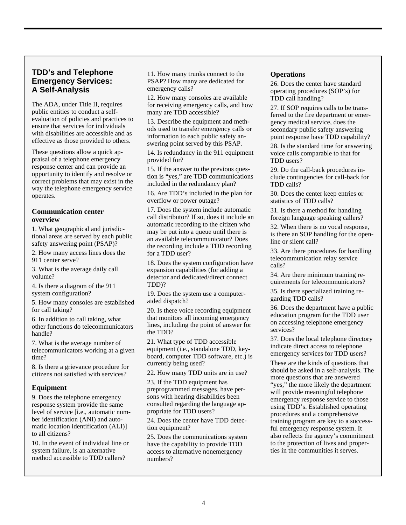## **TDD's and Telephone Emergency Services: A Self-Analysis**

The ADA, under Title II, requires public entities to conduct a selfevaluation of policies and practices to ensure that services for individuals with disabilities are accessible and as effective as those provided to others.

These questions allow a quick appraisal of a telephone emergency response center and can provide an opportunity to identify and resolve or correct problems that may exist in the way the telephone emergency service operates.

#### **Communication center overview**

1. What geographical and jurisdictional areas are served by each public safety answering point (PSAP)?

2. How many access lines does the 911 center serve?

3. What is the average daily call volume?

4. Is there a diagram of the 911 system configuration?

5. How many consoles are established for call taking?

6. In addition to call taking, what other functions do telecommunicators handle?

7. What is the average number of telecommunicators working at a given time?

8. Is there a grievance procedure for citizens not satisfied with services?

#### **Equipment**

9. Does the telephone emergency response system provide the same level of service [i.e., automatic number identification (ANI) and automatic location identification (ALI)] to all citizens?

10. In the event of individual line or system failure, is an alternative method accessible to TDD callers?

11. How many trunks connect to the PSAP? How many are dedicated for emergency calls?

12. How many consoles are available for receiving emergency calls, and how many are TDD accessible?

13. Describe the equipment and methods used to transfer emergency calls or information to each public safety answering point served by this PSAP.

14. Is redundancy in the 911 equipment provided for?

15. If the answer to the previous question is "yes," are TDD communications included in the redundancy plan?

16. Are TDD's included in the plan for overflow or power outage?

17. Does the system include automatic call distributor? If so, does it include an automatic recording to the citizen who may be put into a queue until there is an available telecommunicator? Does the recording include a TDD recording for a TDD user?

18. Does the system configuration have expansion capabilities (for adding a detector and dedicated/direct connect TDD)?

19. Does the system use a computeraided dispatch?

20. Is there voice recording equipment that monitors all incoming emergency lines, including the point of answer for the TDD?

21. What type of TDD accessible equipment (i.e., standalone TDD, keyboard, computer TDD software, etc.) is currently being used?

22. How many TDD units are in use?

23. If the TDD equipment has preprogrammed messages, have persons with hearing disabilities been consulted regarding the language appropriate for TDD users?

24. Does the center have TDD detection equipment?

25. Does the communications system have the capability to provide TDD access to alternative nonemergency numbers?

#### **Operations**

26. Does the center have standard operating procedures (SOP's) for TDD call handling?

27. If SOP requires calls to be transferred to the fire department or emergency medical service, does the secondary public safety answering point response have TDD capability?

28. Is the standard time for answering voice calls comparable to that for TDD users?

29. Do the call-back procedures include contingencies for call-back for TDD calls?

30. Does the center keep entries or statistics of TDD calls?

31. Is there a method for handling foreign language speaking callers?

32. When there is no vocal response, is there an SOP handling for the openline or silent call?

33. Are there procedures for handling telecommunication relay service calls?

34. Are there minimum training requirements for telecommunicators?

35. Is there specialized training regarding TDD calls?

36. Does the department have a public education program for the TDD user on accessing telephone emergency services?

37. Does the local telephone directory indicate direct access to telephone emergency services for TDD users?

These are the kinds of questions that should be asked in a self-analysis. The more questions that are answered "yes," the more likely the department will provide meaningful telephone emergency response service to those using TDD's. Established operating procedures and a comprehensive training program are key to a successful emergency response system. It also reflects the agency's commitment to the protection of lives and properties in the communities it serves.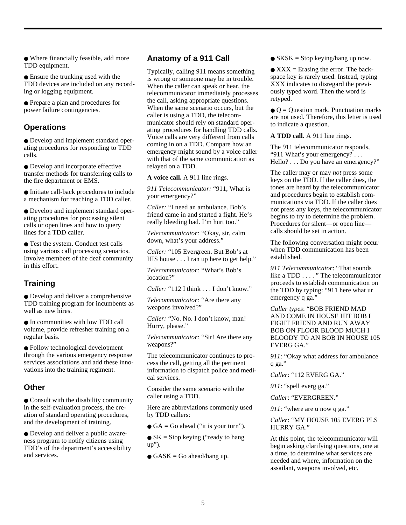● Where financially feasible, add more TDD equipment.

● Ensure the trunking used with the TDD devices are included on any recording or logging equipment.

● Prepare a plan and procedures for power failure contingencies.

## **Operations**

● Develop and implement standard operating procedures for responding to TDD calls.

● Develop and incorporate effective transfer methods for transferring calls to the fire department or EMS.

● Initiate call-back procedures to include a mechanism for reaching a TDD caller.

● Develop and implement standard operating procedures for processing silent calls or open lines and how to query lines for a TDD caller.

● Test the system. Conduct test calls using various call processing scenarios. Involve members of the deaf community in this effort.

# **Training**

● Develop and deliver a comprehensive TDD training program for incumbents as well as new hires.

● In communities with low TDD call volume, provide refresher training on a regular basis.

● Follow technological development through the various emergency response services associations and add these innovations into the training regiment.

## **Other**

● Consult with the disability community in the self-evaluation process, the creation of standard operating procedures, and the development of training.

● Develop and deliver a public awareness program to notify citizens using TDD's of the department's accessibility and services.

## **Anatomy of a 911 Call**

Typically, calling 911 means something is wrong or someone may be in trouble. When the caller can speak or hear, the telecommunicator immediately processes the call, asking appropriate questions. When the same scenario occurs, but the caller is using a TDD, the telecommunicator should rely on standard operating procedures for handling TDD calls. Voice calls are very different from calls coming in on a TDD. Compare how an emergency might sound by a voice caller with that of the same communication as relayed on a TDD.

**A voice call.** A 911 line rings.

*911 Telecommunicator:* "911, What is your emergency?"

*Caller:* "I need an ambulance. Bob's friend came in and started a fight. He's really bleeding bad. I'm hurt too."

*Telecommunicator:* "Okay, sir, calm down, what's your address."

*Caller:* "105 Evergreen. But Bob's at HIS house . . . I ran up here to get help."

*Telecommunicator:* "What's Bob's location?"

*Caller:* "112 I think . . . I don't know."

*Telecommunicator:* "Are there any weapons involved?"

*Caller:* "No. No. I don't know, man! Hurry, please."

*Telecommunicator:* "Sir! Are there any weapons?"

The telecommunicator continues to process the call, getting all the pertinent information to dispatch police and medical services.

Consider the same scenario with the caller using a TDD.

Here are abbreviations commonly used by TDD callers:

 $\bullet$  GA = Go ahead ("it is your turn").

 $\bullet$  SK = Stop keying ("ready to hang up").

 $\bullet$  GASK = Go ahead/hang up.

 $\bullet$  SKSK = Stop keying/hang up now.

 $\bullet$  XXX = Erasing the error. The backspace key is rarely used. Instead, typing XXX indicates to disregard the previously typed word. Then the word is retyped.

 $\bullet$  Q = Question mark. Punctuation marks are not used. Therefore, this letter is used to indicate a question.

**A TDD call.** A 911 line rings.

The 911 telecommunicator responds, "911 What's your emergency? . . . Hello? . . . Do you have an emergency?"

The caller may or may *not* press some keys on the TDD. If the caller does, the tones are heard by the telecommunicator and procedures begin to establish communications via TDD. If the caller does not press any keys, the telecommunicator begins to try to determine the problem. Procedures for silent—or open line calls should be set in action.

The following conversation might occur when TDD communication has been established.

*911 Telecommunicator*: "That sounds like a TDD . . . . " The telecommunicator proceeds to establish communication on the TDD by typing: "911 here what ur emergency q ga."

*Caller types*: "BOB FRIEND MAD AND COME IN HOUSE HIT BOB I FIGHT FRIEND AND RUN AWAY BOB ON FLOOR BLOOD MUCH I BLOODY TO AN BOB IN HOUSE 105 EVERG GA."

*911*: "Okay what address for ambulance q ga."

*Caller*: "112 EVERG GA."

*911*: "spell everg ga."

*Caller*: "EVERGREEN."

*911*: "where are u now q ga."

#### *Caller*: "MY HOUSE 105 EVERG PLS HURRY GA."

At this point, the telecommunicator will begin asking clarifying questions, one at a time, to determine what services are needed and where, information on the assailant, weapons involved, etc.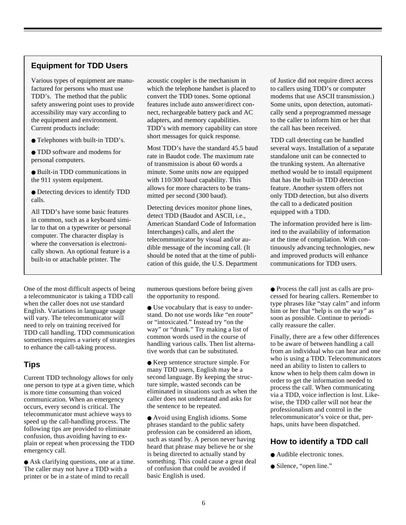# **Equipment for TDD Users**

Various types of equipment are manufactured for persons who must use TDD's. The method that the public safety answering point uses to provide accessibility may vary according to the equipment and environment. Current products include:

● Telephones with built-in TDD's.

● TDD software and modems for personal computers.

● Built-in TDD communications in the 911 system equipment.

● Detecting devices to identify TDD calls.

All TDD's have some basic features in common, such as a keyboard similar to that on a typewriter or personal computer. The character display is where the conversation is electronically shown. An optional feature is a built-in or attachable printer. The

One of the most difficult aspects of being a telecommunicator is taking a TDD call when the caller does not use standard English. Variations in language usage will vary. The telecommunicator will need to rely on training received for TDD call handling. TDD communication sometimes requires a variety of strategies to enhance the call-taking process.

# **Tips**

Current TDD technology allows for only one person to type at a given time, which is more time consuming than voiced communication. When an emergency occurs, every second is critical. The telecommunicator must achieve ways to speed up the call-handling process. The following tips are provided to eliminate confusion, thus avoiding having to explain or repeat when processing the TDD emergency call.

● Ask clarifying questions, one at a time. The caller may not have a TDD with a printer or be in a state of mind to recall

acoustic coupler is the mechanism in which the telephone handset is placed to convert the TDD tones. Some optional features include auto answer/direct connect, rechargeable battery pack and AC adapters, and memory capabilities. TDD's with memory capability can store short messages for quick response.

Most TDD's have the standard 45.5 baud rate in Baudot code. The maximum rate of transmission is about 60 words a minute. Some units now are equipped with 110/300 baud capability. This allows for more characters to be transmitted per second (300 baud).

Detecting devices monitor phone lines, detect TDD (Baudot and ASCII, i.e., American Standard Code of Information Interchanges) calls, and alert the telecommunicator by visual and/or audible message of the incoming call. (It should be noted that at the time of publication of this guide, the U.S. Department

numerous questions before being given the opportunity to respond.

● Use vocabulary that is easy to understand. Do not use words like "en route" or "intoxicated." Instead try "on the way" or "drunk." Try making a list of common words used in the course of handling various calls. Then list alternative words that can be substituted.

● Keep sentence structure simple. For many TDD users, English may be a second language. By keeping the structure simple, wasted seconds can be eliminated in situations such as when the caller does not understand and asks for the sentence to be repeated.

● Avoid using English idioms. Some phrases standard to the public safety profession can be considered an idiom, such as stand by. A person never having heard that phrase may believe he or she is being directed to actually stand by something. This could cause a great deal of confusion that could be avoided if basic English is used.

of Justice did not require direct access to callers using TDD's or computer modems that use ASCII transmission.) Some units, upon detection, automatically send a preprogrammed message to the caller to inform him or her that the call has been received.

TDD call detecting can be handled several ways. Installation of a separate standalone unit can be connected to the trunking system. An alternative method would be to install equipment that has the built-in TDD detection feature. Another system offers not only TDD detection, but also diverts the call to a dedicated position equipped with a TDD.

The information provided here is limited to the availability of information at the time of compilation. With continuously advancing technologies, new and improved products will enhance communications for TDD users.

● Process the call just as calls are processed for hearing callers. Remember to type phrases like "stay calm" and inform him or her that "help is on the way" as soon as possible. Continue to periodically reassure the caller.

Finally, there are a few other differences to be aware of between handling a call from an individual who can hear and one who is using a TDD. Telecommunicators need an ability to listen to callers to know when to help them calm down in order to get the information needed to process the call. When communicating via a TDD, voice inflection is lost. Likewise, the TDD caller will not hear the professionalism and control in the telecommunicator's voice or that, perhaps, units have been dispatched.

## **How to identify a TDD call**

- Audible electronic tones.
- Silence, "open line."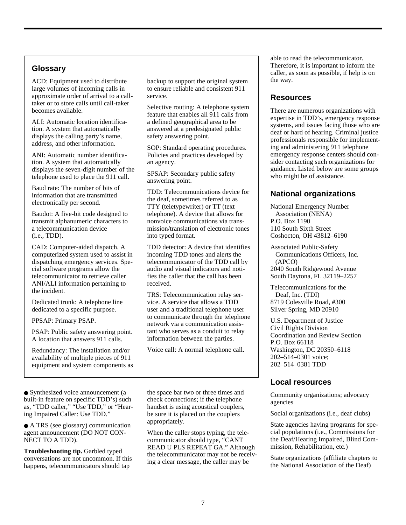# **Glossary**

ACD: Equipment used to distribute large volumes of incoming calls in approximate order of arrival to a calltaker or to store calls until call-taker becomes available.

ALI: Automatic location identification. A system that automatically displays the calling party's name, address, and other information.

ANI: Automatic number identification. A system that automatically displays the seven-digit number of the telephone used to place the 911 call.

Baud rate: The number of bits of information that are transmitted electronically per second.

Baudot: A five-bit code designed to transmit alphanumeric characters to a telecommunication device (i.e., TDD).

CAD: Computer-aided dispatch. A computerized system used to assist in dispatching emergency services. Special software programs allow the telecommunicator to retrieve caller ANI/ALI information pertaining to the incident.

Dedicated trunk: A telephone line dedicated to a specific purpose.

PPSAP: Primary PSAP.

PSAP: Public safety answering point. A location that answers 911 calls.

Redundancy: The installation and/or availability of multiple pieces of 911 equipment and system components as

● Synthesized voice announcement (a built-in feature on specific TDD's) such as, "TDD caller," "Use TDD," or "Hearing Impaired Caller: Use TDD."

● A TRS (see glossary) communication agent announcement (DO NOT CON-NECT TO A TDD).

**Troubleshooting tip.** Garbled typed conversations are not uncommon. If this happens, telecommunicators should tap

backup to support the original system to ensure reliable and consistent 911 service.

Selective routing: A telephone system feature that enables all 911 calls from a defined geographical area to be answered at a predesignated public safety answering point.

SOP: Standard operating procedures. Policies and practices developed by an agency.

SPSAP: Secondary public safety answering point.

TDD: Telecommunications device for the deaf, sometimes referred to as TTY (teletypewriter) or TT (text telephone). A device that allows for nonvoice communications via transmission/translation of electronic tones into typed format.

TDD detector: A device that identifies incoming TDD tones and alerts the telecommunicator of the TDD call by audio and visual indicators and notifies the caller that the call has been received.

TRS: Telecommunication relay service. A service that allows a TDD user and a traditional telephone user to communicate through the telephone network via a communication assistant who serves as a conduit to relay information between the parties.

Voice call: A normal telephone call.

the space bar two or three times and check connections; if the telephone handset is using acoustical couplers, be sure it is placed on the couplers appropriately.

When the caller stops typing, the telecommunicator should type, "CANT READ U PLS REPEAT GA." Although the telecommunicator may not be receiving a clear message, the caller may be

able to read the telecommunicator. Therefore, it is important to inform the caller, as soon as possible, if help is on the way.

## **Resources**

There are numerous organizations with expertise in TDD's, emergency response systems, and issues facing those who are deaf or hard of hearing. Criminal justice professionals responsible for implementing and administering 911 telephone emergency response centers should consider contacting such organizations for guidance. Listed below are some groups who might be of assistance.

# **National organizations**

National Emergency Number Association (NENA) P.O. Box 1190 110 South Sixth Street Coshocton, OH 43812–6190

Associated Public-Safety Communications Officers, Inc. (APCO) 2040 South Ridgewood Avenue South Daytona, FL 32119–2257

Telecommunications for the Deaf, Inc. (TDI) 8719 Colesville Road, #300 Silver Spring, MD 20910

U.S. Department of Justice Civil Rights Division Coordination and Review Section P.O. Box 66118 Washington, DC 20350–6118 202–514–0301 voice; 202–514–0381 TDD

## **Local resources**

Community organizations; advocacy agencies

Social organizations (i.e., deaf clubs)

State agencies having programs for special populations (i.e., Commissions for the Deaf/Hearing Impaired, Blind Commission, Rehabilitation, etc.)

State organizations (affiliate chapters to the National Association of the Deaf)